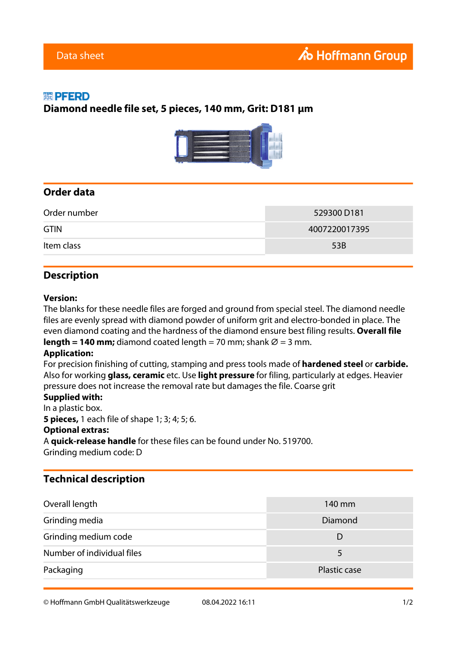### 縈 PFERD

### **Diamond needle file set, 5 pieces, 140 mm, Grit: D181 µm**



# **Order data**

|                   | Order number | 529300 D181   |
|-------------------|--------------|---------------|
| <b>GTIN</b>       |              | 4007220017395 |
| Item class<br>53B |              |               |

## **Description**

#### **Version:**

The blanks for these needle files are forged and ground from special steel. The diamond needle files are evenly spread with diamond powder of uniform grit and electro-bonded in place. The even diamond coating and the hardness of the diamond ensure best filing results. **Overall file length = 140 mm;** diamond coated length = 70 mm; shank  $\varnothing$  = 3 mm.

#### **Application:**

For precision finishing of cutting, stamping and press tools made of **hardened steel** or **carbide.** Also for working **glass, ceramic** etc. Use **light pressure** for filing, particularly at edges. Heavier pressure does not increase the removal rate but damages the file. Coarse grit

#### **Supplied with:**

In a plastic box. **5 pieces,** 1 each file of shape 1; 3; 4; 5; 6. **Optional extras:** A **quick-release handle** for these files can be found under No. 519700. Grinding medium code: D

# **Technical description**

| Overall length             | 140 mm       |
|----------------------------|--------------|
| Grinding media             | Diamond      |
| Grinding medium code       | I)           |
| Number of individual files | 5            |
| Packaging                  | Plastic case |